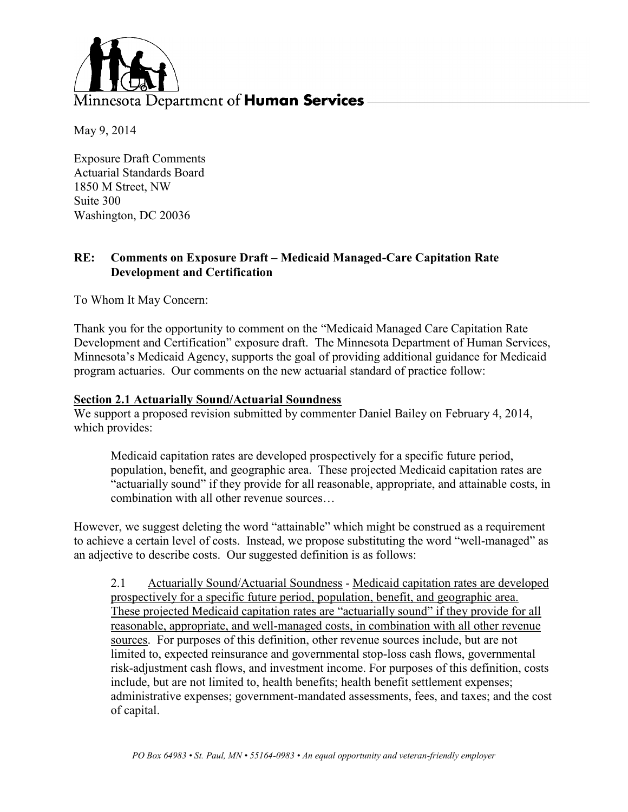

May 9, 2014

Exposure Draft Comments Actuarial Standards Board 1850 M Street, NW Suite 300 Washington, DC 20036

## **RE: Comments on Exposure Draft – Medicaid Managed-Care Capitation Rate Development and Certification**

To Whom It May Concern:

Thank you for the opportunity to comment on the "Medicaid Managed Care Capitation Rate Development and Certification" exposure draft. The Minnesota Department of Human Services, Minnesota's Medicaid Agency, supports the goal of providing additional guidance for Medicaid program actuaries. Our comments on the new actuarial standard of practice follow:

# **Section 2.1 Actuarially Sound/Actuarial Soundness**

We support a proposed revision submitted by commenter Daniel Bailey on February 4, 2014, which provides:

Medicaid capitation rates are developed prospectively for a specific future period, population, benefit, and geographic area. These projected Medicaid capitation rates are "actuarially sound" if they provide for all reasonable, appropriate, and attainable costs, in combination with all other revenue sources…

However, we suggest deleting the word "attainable" which might be construed as a requirement to achieve a certain level of costs. Instead, we propose substituting the word "well-managed" as an adjective to describe costs. Our suggested definition is as follows:

2.1 Actuarially Sound/Actuarial Soundness - Medicaid capitation rates are developed prospectively for a specific future period, population, benefit, and geographic area. These projected Medicaid capitation rates are "actuarially sound" if they provide for all reasonable, appropriate, and well-managed costs, in combination with all other revenue sources. For purposes of this definition, other revenue sources include, but are not limited to, expected reinsurance and governmental stop-loss cash flows, governmental risk-adjustment cash flows, and investment income. For purposes of this definition, costs include, but are not limited to, health benefits; health benefit settlement expenses; administrative expenses; government-mandated assessments, fees, and taxes; and the cost of capital.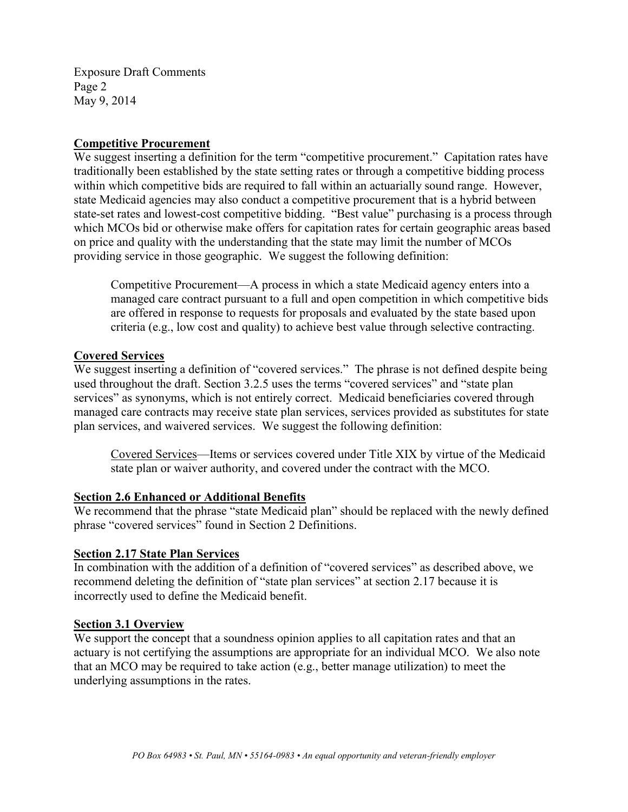Exposure Draft Comments Page 2 May 9, 2014

#### **Competitive Procurement**

We suggest inserting a definition for the term "competitive procurement." Capitation rates have traditionally been established by the state setting rates or through a competitive bidding process within which competitive bids are required to fall within an actuarially sound range. However, state Medicaid agencies may also conduct a competitive procurement that is a hybrid between state-set rates and lowest-cost competitive bidding. "Best value" purchasing is a process through which MCOs bid or otherwise make offers for capitation rates for certain geographic areas based on price and quality with the understanding that the state may limit the number of MCOs providing service in those geographic. We suggest the following definition:

Competitive Procurement—A process in which a state Medicaid agency enters into a managed care contract pursuant to a full and open competition in which competitive bids are offered in response to requests for proposals and evaluated by the state based upon criteria (e.g., low cost and quality) to achieve best value through selective contracting.

#### **Covered Services**

We suggest inserting a definition of "covered services." The phrase is not defined despite being used throughout the draft. Section 3.2.5 uses the terms "covered services" and "state plan services" as synonyms, which is not entirely correct. Medicaid beneficiaries covered through managed care contracts may receive state plan services, services provided as substitutes for state plan services, and waivered services. We suggest the following definition:

Covered Services—Items or services covered under Title XIX by virtue of the Medicaid state plan or waiver authority, and covered under the contract with the MCO.

#### **Section 2.6 Enhanced or Additional Benefits**

We recommend that the phrase "state Medicaid plan" should be replaced with the newly defined phrase "covered services" found in Section 2 Definitions.

## **Section 2.17 State Plan Services**

In combination with the addition of a definition of "covered services" as described above, we recommend deleting the definition of "state plan services" at section 2.17 because it is incorrectly used to define the Medicaid benefit.

#### **Section 3.1 Overview**

We support the concept that a soundness opinion applies to all capitation rates and that an actuary is not certifying the assumptions are appropriate for an individual MCO. We also note that an MCO may be required to take action (e.g., better manage utilization) to meet the underlying assumptions in the rates.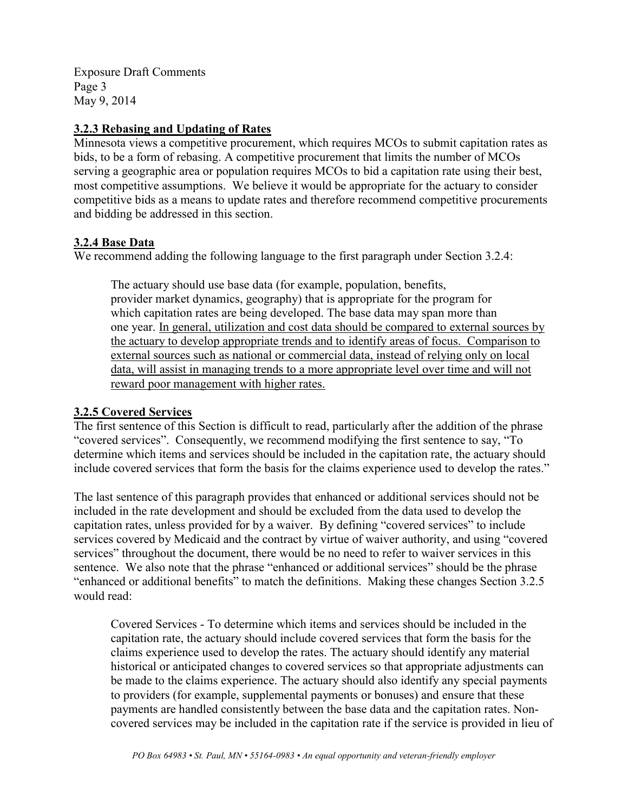Exposure Draft Comments Page 3 May 9, 2014

# **3.2.3 Rebasing and Updating of Rates**

Minnesota views a competitive procurement, which requires MCOs to submit capitation rates as bids, to be a form of rebasing. A competitive procurement that limits the number of MCOs serving a geographic area or population requires MCOs to bid a capitation rate using their best, most competitive assumptions. We believe it would be appropriate for the actuary to consider competitive bids as a means to update rates and therefore recommend competitive procurements and bidding be addressed in this section.

## **3.2.4 Base Data**

We recommend adding the following language to the first paragraph under Section 3.2.4:

The actuary should use base data (for example, population, benefits, provider market dynamics, geography) that is appropriate for the program for which capitation rates are being developed. The base data may span more than one year. In general, utilization and cost data should be compared to external sources by the actuary to develop appropriate trends and to identify areas of focus. Comparison to external sources such as national or commercial data, instead of relying only on local data, will assist in managing trends to a more appropriate level over time and will not reward poor management with higher rates.

# **3.2.5 Covered Services**

The first sentence of this Section is difficult to read, particularly after the addition of the phrase "covered services". Consequently, we recommend modifying the first sentence to say, "To determine which items and services should be included in the capitation rate, the actuary should include covered services that form the basis for the claims experience used to develop the rates."

The last sentence of this paragraph provides that enhanced or additional services should not be included in the rate development and should be excluded from the data used to develop the capitation rates, unless provided for by a waiver. By defining "covered services" to include services covered by Medicaid and the contract by virtue of waiver authority, and using "covered services" throughout the document, there would be no need to refer to waiver services in this sentence. We also note that the phrase "enhanced or additional services" should be the phrase "enhanced or additional benefits" to match the definitions. Making these changes Section 3.2.5 would read:

Covered Services - To determine which items and services should be included in the capitation rate, the actuary should include covered services that form the basis for the claims experience used to develop the rates. The actuary should identify any material historical or anticipated changes to covered services so that appropriate adjustments can be made to the claims experience. The actuary should also identify any special payments to providers (for example, supplemental payments or bonuses) and ensure that these payments are handled consistently between the base data and the capitation rates. Noncovered services may be included in the capitation rate if the service is provided in lieu of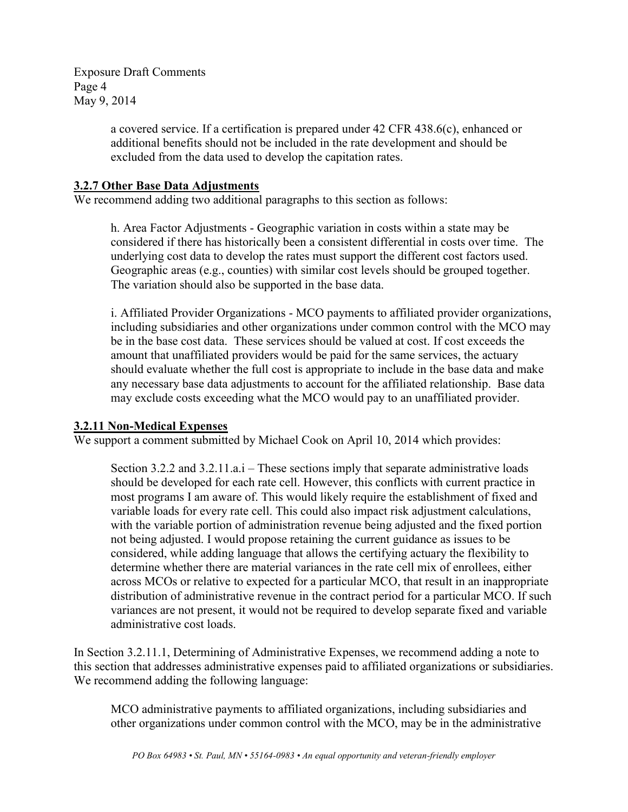Exposure Draft Comments Page 4 May 9, 2014

> a covered service. If a certification is prepared under 42 CFR 438.6(c), enhanced or additional benefits should not be included in the rate development and should be excluded from the data used to develop the capitation rates.

#### **3.2.7 Other Base Data Adjustments**

We recommend adding two additional paragraphs to this section as follows:

h. Area Factor Adjustments - Geographic variation in costs within a state may be considered if there has historically been a consistent differential in costs over time. The underlying cost data to develop the rates must support the different cost factors used. Geographic areas (e.g., counties) with similar cost levels should be grouped together. The variation should also be supported in the base data.

i. Affiliated Provider Organizations - MCO payments to affiliated provider organizations, including subsidiaries and other organizations under common control with the MCO may be in the base cost data. These services should be valued at cost. If cost exceeds the amount that unaffiliated providers would be paid for the same services, the actuary should evaluate whether the full cost is appropriate to include in the base data and make any necessary base data adjustments to account for the affiliated relationship. Base data may exclude costs exceeding what the MCO would pay to an unaffiliated provider.

#### **3.2.11 Non-Medical Expenses**

We support a comment submitted by Michael Cook on April 10, 2014 which provides:

 Section 3.2.2 and 3.2.11.a.i – These sections imply that separate administrative loads should be developed for each rate cell. However, this conflicts with current practice in most programs I am aware of. This would likely require the establishment of fixed and variable loads for every rate cell. This could also impact risk adjustment calculations, with the variable portion of administration revenue being adjusted and the fixed portion not being adjusted. I would propose retaining the current guidance as issues to be considered, while adding language that allows the certifying actuary the flexibility to determine whether there are material variances in the rate cell mix of enrollees, either across MCOs or relative to expected for a particular MCO, that result in an inappropriate distribution of administrative revenue in the contract period for a particular MCO. If such variances are not present, it would not be required to develop separate fixed and variable administrative cost loads.

In Section 3.2.11.1, Determining of Administrative Expenses, we recommend adding a note to this section that addresses administrative expenses paid to affiliated organizations or subsidiaries. We recommend adding the following language:

MCO administrative payments to affiliated organizations, including subsidiaries and other organizations under common control with the MCO, may be in the administrative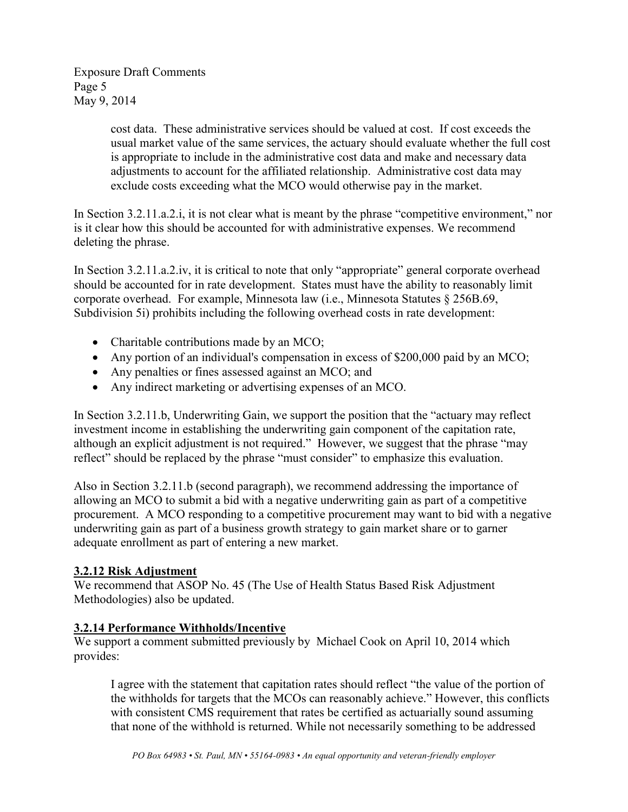Exposure Draft Comments Page 5 May 9, 2014

> cost data. These administrative services should be valued at cost. If cost exceeds the usual market value of the same services, the actuary should evaluate whether the full cost is appropriate to include in the administrative cost data and make and necessary data adjustments to account for the affiliated relationship. Administrative cost data may exclude costs exceeding what the MCO would otherwise pay in the market.

In Section 3.2.11.a.2.i, it is not clear what is meant by the phrase "competitive environment," nor is it clear how this should be accounted for with administrative expenses. We recommend deleting the phrase.

In Section 3.2.11.a.2.iv, it is critical to note that only "appropriate" general corporate overhead should be accounted for in rate development. States must have the ability to reasonably limit corporate overhead. For example, Minnesota law (i.e., Minnesota Statutes § 256B.69, Subdivision 5i) prohibits including the following overhead costs in rate development:

- Charitable contributions made by an MCO;
- Any portion of an individual's compensation in excess of \$200,000 paid by an MCO;
- Any penalties or fines assessed against an MCO; and
- Any indirect marketing or advertising expenses of an MCO.

In Section 3.2.11.b, Underwriting Gain, we support the position that the "actuary may reflect investment income in establishing the underwriting gain component of the capitation rate, although an explicit adjustment is not required." However, we suggest that the phrase "may reflect" should be replaced by the phrase "must consider" to emphasize this evaluation.

Also in Section 3.2.11.b (second paragraph), we recommend addressing the importance of allowing an MCO to submit a bid with a negative underwriting gain as part of a competitive procurement. A MCO responding to a competitive procurement may want to bid with a negative underwriting gain as part of a business growth strategy to gain market share or to garner adequate enrollment as part of entering a new market.

## **3.2.12 Risk Adjustment**

We recommend that ASOP No. 45 (The Use of Health Status Based Risk Adjustment Methodologies) also be updated.

# **3.2.14 Performance Withholds/Incentive**

We support a comment submitted previously by Michael Cook on April 10, 2014 which provides:

I agree with the statement that capitation rates should reflect "the value of the portion of the withholds for targets that the MCOs can reasonably achieve." However, this conflicts with consistent CMS requirement that rates be certified as actuarially sound assuming that none of the withhold is returned. While not necessarily something to be addressed